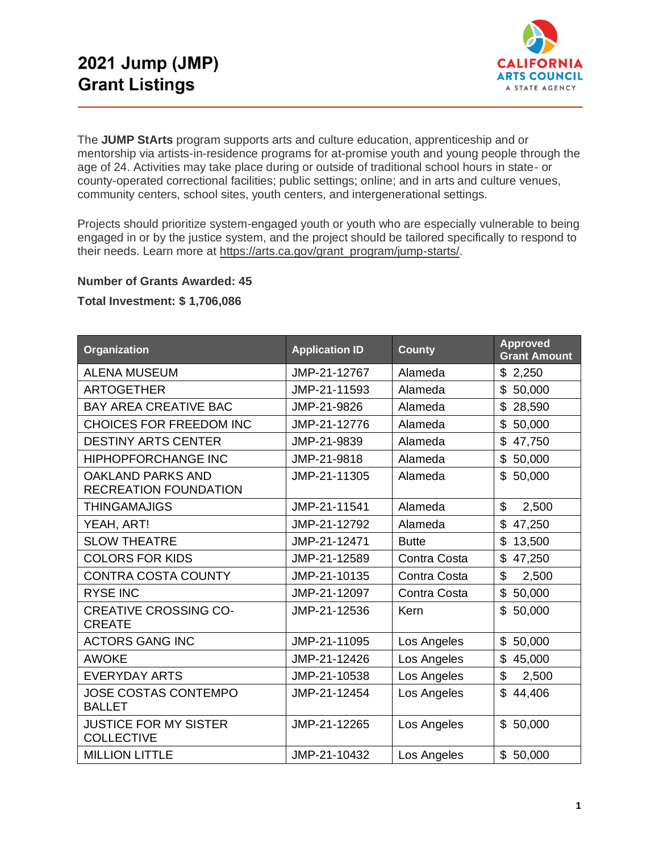

The **JUMP StArts** program supports arts and culture education, apprenticeship and or mentorship via artists-in-residence programs for at-promise youth and young people through the age of 24. Activities may take place during or outside of traditional school hours in state- or county-operated correctional facilities; public settings; online; and in arts and culture venues, community centers, school sites, youth centers, and intergenerational settings.

Projects should prioritize system-engaged youth or youth who are especially vulnerable to being engaged in or by the justice system, and the project should be tailored specifically to respond to their needs. Learn more at https://arts.ca.gov/grant\_program/jump-starts/.

## **Number of Grants Awarded: 45**

## **Total Investment: \$ 1,706,086**

| Organization                                             | <b>Application ID</b> | <b>County</b> | <b>Approved</b><br><b>Grant Amount</b> |
|----------------------------------------------------------|-----------------------|---------------|----------------------------------------|
| <b>ALENA MUSEUM</b>                                      | JMP-21-12767          | Alameda       | \$2,250                                |
| <b>ARTOGETHER</b>                                        | JMP-21-11593          | Alameda       | $\mathbb{S}$<br>50,000                 |
| <b>BAY AREA CREATIVE BAC</b>                             | JMP-21-9826           | Alameda       | \$<br>28,590                           |
| CHOICES FOR FREEDOM INC                                  | JMP-21-12776          | Alameda       | \$50,000                               |
| <b>DESTINY ARTS CENTER</b>                               | JMP-21-9839           | Alameda       | \$<br>47,750                           |
| <b>HIPHOPFORCHANGE INC</b>                               | JMP-21-9818           | Alameda       | \$50,000                               |
| <b>OAKLAND PARKS AND</b><br><b>RECREATION FOUNDATION</b> | JMP-21-11305          | Alameda       | \$<br>50,000                           |
| <b>THINGAMAJIGS</b>                                      | JMP-21-11541          | Alameda       | \$<br>2,500                            |
| YEAH, ART!                                               | JMP-21-12792          | Alameda       | \$<br>47,250                           |
| <b>SLOW THEATRE</b>                                      | JMP-21-12471          | <b>Butte</b>  | \$<br>13,500                           |
| <b>COLORS FOR KIDS</b>                                   | JMP-21-12589          | Contra Costa  | \$<br>47,250                           |
| <b>CONTRA COSTA COUNTY</b>                               | JMP-21-10135          | Contra Costa  | \$<br>2,500                            |
| <b>RYSE INC</b>                                          | JMP-21-12097          | Contra Costa  | \$<br>50,000                           |
| <b>CREATIVE CROSSING CO-</b><br><b>CREATE</b>            | JMP-21-12536          | Kern          | \$<br>50,000                           |
| <b>ACTORS GANG INC</b>                                   | JMP-21-11095          | Los Angeles   | \$50,000                               |
| <b>AWOKE</b>                                             | JMP-21-12426          | Los Angeles   | \$45,000                               |
| <b>EVERYDAY ARTS</b>                                     | JMP-21-10538          | Los Angeles   | \$<br>2,500                            |
| <b>JOSE COSTAS CONTEMPO</b><br><b>BALLET</b>             | JMP-21-12454          | Los Angeles   | \$<br>44,406                           |
| <b>JUSTICE FOR MY SISTER</b><br><b>COLLECTIVE</b>        | JMP-21-12265          | Los Angeles   | \$50,000                               |
| <b>MILLION LITTLE</b>                                    | JMP-21-10432          | Los Angeles   | \$50,000                               |